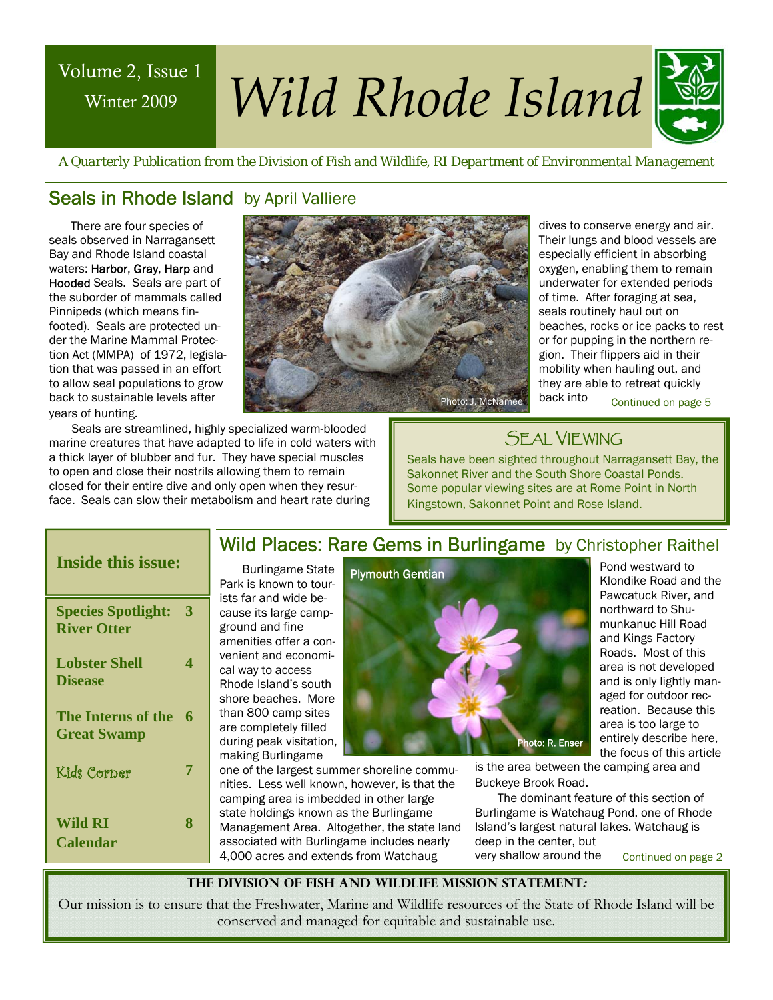# Winter 2009

# Volume 2, Issue 1 *Wild Rhode Island*



 *A Quarterly Publication from the Division of Fish and Wildlife, RI Department of Environmental Management* 

#### Seals in Rhode Island by April Valliere

There are four species of seals observed in Narragansett Bay and Rhode Island coastal waters: Harbor, Gray, Harp and Hooded Seals. Seals are part of the suborder of mammals called Pinnipeds (which means finfooted). Seals are protected under the Marine Mammal Protection Act (MMPA) of 1972, legislation that was passed in an effort to allow seal populations to grow back to sustainable levels after years of hunting.



Seals are streamlined, highly specialized warm-blooded marine creatures that have adapted to life in cold waters with a thick layer of blubber and fur. They have special muscles to open and close their nostrils allowing them to remain closed for their entire dive and only open when they resurface. Seals can slow their metabolism and heart rate during

dives to conserve energy and air. Their lungs and blood vessels are especially efficient in absorbing oxygen, enabling them to remain underwater for extended periods of time. After foraging at sea, seals routinely haul out on beaches, rocks or ice packs to rest or for pupping in the northern region. Their flippers aid in their mobility when hauling out, and they are able to retreat quickly back into

### SEAL VIEWING

Seals have been sighted throughout Narragansett Bay, the Sakonnet River and the South Shore Coastal Ponds. Some popular viewing sites are at Rome Point in North Kingstown, Sakonnet Point and Rose Island.

| <b>Inside this issue:</b>                       |   |
|-------------------------------------------------|---|
| <b>Species Spotlight:</b><br><b>River Otter</b> | 3 |
| <b>Lobster Shell</b><br><b>Disease</b>          | 4 |
| <b>The Interns of the</b><br><b>Great Swamp</b> | 6 |
| Kids Corner                                     | 7 |
| Wild RI<br><b>Calendar</b>                      | 8 |

#### Wild Places: Rare Gems in Burlingame by Christopher Raithel

Burlingame State Park is known to tourists far and wide because its large campground and fine amenities offer a convenient and economical way to access Rhode Island's south shore beaches. More than 800 camp sites are completely filled during peak visitation, making Burlingame

one of the largest summer shoreline communities. Less well known, however, is that the camping area is imbedded in other large state holdings known as the Burlingame Management Area. Altogether, the state land associated with Burlingame includes nearly 4,000 acres and extends from Watchaug



Pond westward to Klondike Road and the Pawcatuck River, and northward to Shumunkanuc Hill Road and Kings Factory Roads. Most of this area is not developed and is only lightly managed for outdoor recreation. Because this area is too large to entirely describe here, the focus of this article

is the area between the camping area and Buckeye Brook Road.

The dominant feature of this section of Burlingame is Watchaug Pond, one of Rhode Island's largest natural lakes. Watchaug is deep in the center, but

very shallow around the

Continued on page 2

**The Division of Fish and Wildlife Mission Statement:** 

Our mission is to ensure that the Freshwater, Marine and Wildlife resources of the State of Rhode Island will be conserved and managed for equitable and sustainable use.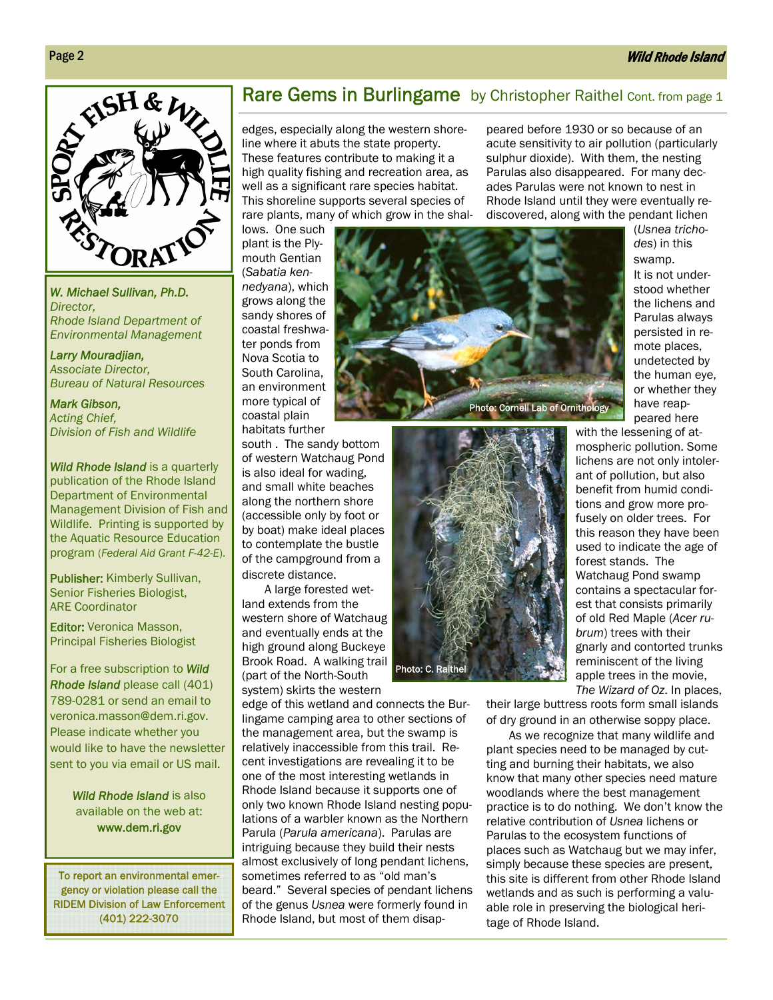#### Wild Rhode Island



*W. Michael Sullivan, Ph.D. Director, Rhode Island Department of Environmental Management* 

*Larry Mouradjian, Associate Director, Bureau of Natural Resources* 

*Mark Gibson, Acting Chief, Division of Fish and Wildlife* 

*Wild Rhode Island* is a quarterly publication of the Rhode Island Department of Environmental Management Division of Fish and Wildlife. Printing is supported by the Aquatic Resource Education program (*Federal Aid Grant F-42-E*).

Publisher: Kimberly Sullivan, Senior Fisheries Biologist, ARE Coordinator

Editor: Veronica Masson, Principal Fisheries Biologist

For a free subscription to *Wild Rhode Island* please call (401) 789-0281 or send an email to veronica.masson@dem.ri.gov. Please indicate whether you would like to have the newsletter sent to you via email or US mail.

> *Wild Rhode Island* is also available on the web at: www.dem.ri.gov

To report an environmental emergency or violation please call the RIDEM Division of Law Enforcement (401) 222-3070

#### Rare Gems in Burlingame by Christopher Raithel Cont. from page 1

edges, especially along the western shoreline where it abuts the state property. These features contribute to making it a high quality fishing and recreation area, as well as a significant rare species habitat. This shoreline supports several species of rare plants, many of which grow in the shal-

lows. One such plant is the Plymouth Gentian (*Sabatia kennedyana*), which grows along the sandy shores of coastal freshwater ponds from Nova Scotia to South Carolina, an environment more typical of coastal plain habitats further

south . The sandy bottom of western Watchaug Pond is also ideal for wading, and small white beaches along the northern shore (accessible only by foot or by boat) make ideal places to contemplate the bustle of the campground from a discrete distance.

A large forested wetland extends from the western shore of Watchaug and eventually ends at the high ground along Buckeye Brook Road. A walking trail (part of the North-South

system) skirts the western

edge of this wetland and connects the Burlingame camping area to other sections of the management area, but the swamp is relatively inaccessible from this trail. Recent investigations are revealing it to be one of the most interesting wetlands in Rhode Island because it supports one of only two known Rhode Island nesting populations of a warbler known as the Northern Parula (*Parula americana*). Parulas are intriguing because they build their nests almost exclusively of long pendant lichens, sometimes referred to as "old man's beard." Several species of pendant lichens of the genus *Usnea* were formerly found in Rhode Island, but most of them disap-

Photo: C. Raithel

peared before 1930 or so because of an acute sensitivity to air pollution (particularly sulphur dioxide). With them, the nesting Parulas also disappeared. For many decades Parulas were not known to nest in Rhode Island until they were eventually rediscovered, along with the pendant lichen



(*Usnea trichodes*) in this swamp. It is not understood whether the lichens and Parulas always persisted in remote places, undetected by the human eye, or whether they have reappeared here

with the lessening of atmospheric pollution. Some lichens are not only intolerant of pollution, but also benefit from humid conditions and grow more profusely on older trees. For this reason they have been used to indicate the age of forest stands. The Watchaug Pond swamp contains a spectacular forest that consists primarily of old Red Maple (*Acer rubrum*) trees with their gnarly and contorted trunks reminiscent of the living apple trees in the movie, *The Wizard of Oz*. In places,

their large buttress roots form small islands of dry ground in an otherwise soppy place.

As we recognize that many wildlife and plant species need to be managed by cutting and burning their habitats, we also know that many other species need mature woodlands where the best management practice is to do nothing. We don't know the relative contribution of *Usnea* lichens or Parulas to the ecosystem functions of places such as Watchaug but we may infer, simply because these species are present, this site is different from other Rhode Island wetlands and as such is performing a valuable role in preserving the biological heritage of Rhode Island.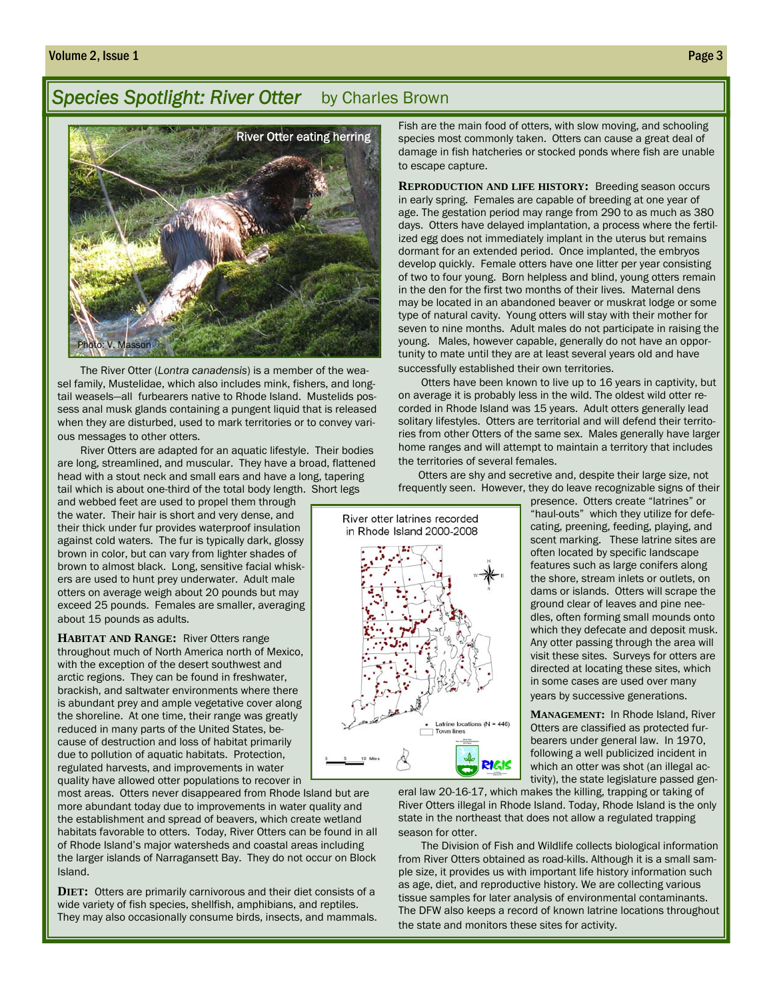#### **Species Spotlight: River Otter** by Charles Brown



The River Otter (*Lontra canadensis*) is a member of the weasel family, Mustelidae, which also includes mink, fishers, and longtail weasels—all furbearers native to Rhode Island. Mustelids possess anal musk glands containing a pungent liquid that is released when they are disturbed, used to mark territories or to convey various messages to other otters.

 River Otters are adapted for an aquatic lifestyle. Their bodies are long, streamlined, and muscular. They have a broad, flattened head with a stout neck and small ears and have a long, tapering tail which is about one-third of the total body length. Short legs

and webbed feet are used to propel them through the water. Their hair is short and very dense, and their thick under fur provides waterproof insulation against cold waters. The fur is typically dark, glossy brown in color, but can vary from lighter shades of brown to almost black. Long, sensitive facial whiskers are used to hunt prey underwater. Adult male otters on average weigh about 20 pounds but may exceed 25 pounds. Females are smaller, averaging about 15 pounds as adults.

**HABITAT AND RANGE:** River Otters range throughout much of North America north of Mexico, with the exception of the desert southwest and arctic regions. They can be found in freshwater, brackish, and saltwater environments where there is abundant prey and ample vegetative cover along the shoreline. At one time, their range was greatly reduced in many parts of the United States, because of destruction and loss of habitat primarily due to pollution of aquatic habitats. Protection, regulated harvests, and improvements in water quality have allowed otter populations to recover in

most areas. Otters never disappeared from Rhode Island but are more abundant today due to improvements in water quality and the establishment and spread of beavers, which create wetland habitats favorable to otters. Today, River Otters can be found in all of Rhode Island's major watersheds and coastal areas including the larger islands of Narragansett Bay. They do not occur on Block Island.

**DIET:** Otters are primarily carnivorous and their diet consists of a wide variety of fish species, shellfish, amphibians, and reptiles. They may also occasionally consume birds, insects, and mammals.

Fish are the main food of otters, with slow moving, and schooling species most commonly taken. Otters can cause a great deal of damage in fish hatcheries or stocked ponds where fish are unable to escape capture.

**REPRODUCTION AND LIFE HISTORY:** Breeding season occurs in early spring. Females are capable of breeding at one year of age. The gestation period may range from 290 to as much as 380 days. Otters have delayed implantation, a process where the fertilized egg does not immediately implant in the uterus but remains dormant for an extended period. Once implanted, the embryos develop quickly. Female otters have one litter per year consisting of two to four young. Born helpless and blind, young otters remain in the den for the first two months of their lives. Maternal dens may be located in an abandoned beaver or muskrat lodge or some type of natural cavity. Young otters will stay with their mother for seven to nine months. Adult males do not participate in raising the young. Males, however capable, generally do not have an opportunity to mate until they are at least several years old and have successfully established their own territories.

 Otters have been known to live up to 16 years in captivity, but on average it is probably less in the wild. The oldest wild otter recorded in Rhode Island was 15 years. Adult otters generally lead solitary lifestyles. Otters are territorial and will defend their territories from other Otters of the same sex. Males generally have larger home ranges and will attempt to maintain a territory that includes the territories of several females.

 Otters are shy and secretive and, despite their large size, not frequently seen. However, they do leave recognizable signs of their



presence. Otters create "latrines" or "haul-outs" which they utilize for defecating, preening, feeding, playing, and scent marking. These latrine sites are often located by specific landscape features such as large conifers along the shore, stream inlets or outlets, on dams or islands. Otters will scrape the ground clear of leaves and pine needles, often forming small mounds onto which they defecate and deposit musk. Any otter passing through the area will visit these sites. Surveys for otters are directed at locating these sites, which in some cases are used over many years by successive generations.

**MANAGEMENT:** In Rhode Island, River Otters are classified as protected furbearers under general law. In 1970, following a well publicized incident in which an otter was shot (an illegal activity), the state legislature passed gen-

eral law 20-16-17, which makes the killing, trapping or taking of River Otters illegal in Rhode Island. Today, Rhode Island is the only state in the northeast that does not allow a regulated trapping season for otter.

 The Division of Fish and Wildlife collects biological information from River Otters obtained as road-kills. Although it is a small sample size, it provides us with important life history information such as age, diet, and reproductive history. We are collecting various tissue samples for later analysis of environmental contaminants. The DFW also keeps a record of known latrine locations throughout the state and monitors these sites for activity.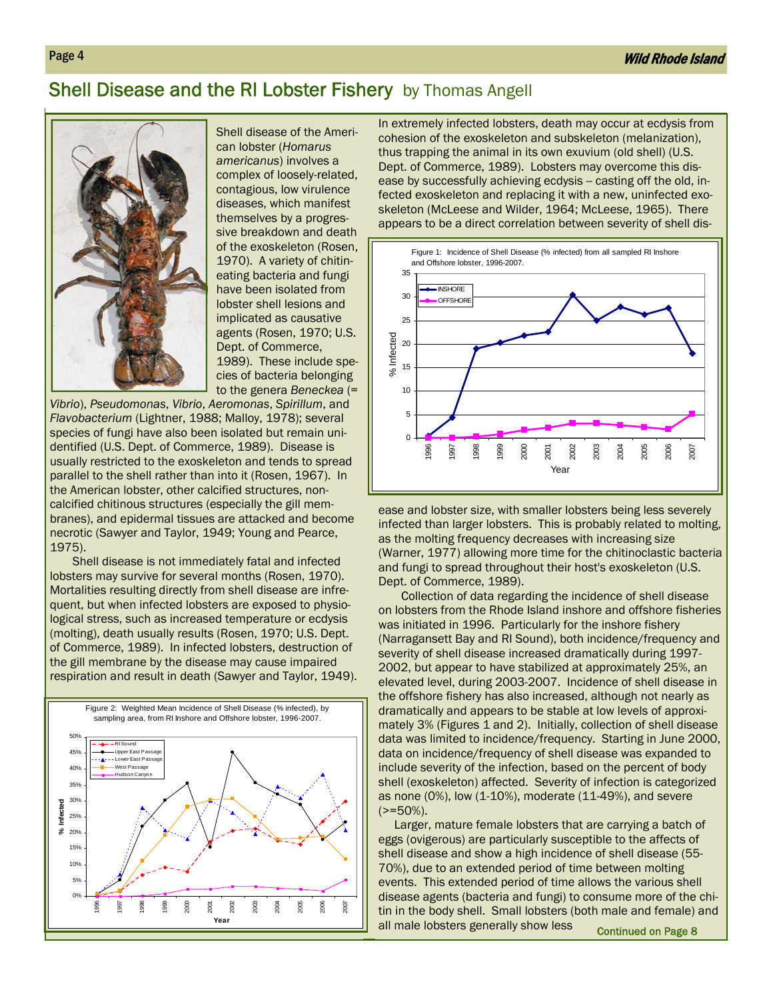#### Shell Disease and the RI Lobster Fishery by Thomas Angell



Shell disease of the American lobster (*Homarus americanus*) involves a complex of loosely-related, contagious, low virulence diseases, which manifest themselves by a progressive breakdown and death of the exoskeleton (Rosen, 1970). A variety of chitineating bacteria and fungi have been isolated from lobster shell lesions and implicated as causative agents (Rosen, 1970; U.S. Dept. of Commerce, 1989). These include species of bacteria belonging to the genera *Beneckea* (=

*Vibrio*), *Pseudomonas*, *Vibrio*, *Aeromonas*, *Spirillum*, and *Flavobacterium* (Lightner, 1988; Malloy, 1978); several species of fungi have also been isolated but remain unidentified (U.S. Dept. of Commerce, 1989). Disease is usually restricted to the exoskeleton and tends to spread parallel to the shell rather than into it (Rosen, 1967). In the American lobster, other calcified structures, noncalcified chitinous structures (especially the gill membranes), and epidermal tissues are attacked and become necrotic (Sawyer and Taylor, 1949; Young and Pearce, 1975).

Shell disease is not immediately fatal and infected lobsters may survive for several months (Rosen, 1970). Mortalities resulting directly from shell disease are infrequent, but when infected lobsters are exposed to physiological stress, such as increased temperature or ecdysis (molting), death usually results (Rosen, 1970; U.S. Dept. of Commerce, 1989). In infected lobsters, destruction of the gill membrane by the disease may cause impaired respiration and result in death (Sawyer and Taylor, 1949).



In extremely infected lobsters, death may occur at ecdysis from cohesion of the exoskeleton and subskeleton (melanization), thus trapping the animal in its own exuvium (old shell) (U.S. Dept. of Commerce, 1989). Lobsters may overcome this disease by successfully achieving ecdysis -- casting off the old, infected exoskeleton and replacing it with a new, uninfected exoskeleton (McLeese and Wilder, 1964; McLeese, 1965). There appears to be a direct correlation between severity of shell dis-



ease and lobster size, with smaller lobsters being less severely infected than larger lobsters. This is probably related to molting, as the molting frequency decreases with increasing size (Warner, 1977) allowing more time for the chitinoclastic bacteria and fungi to spread throughout their host's exoskeleton (U.S. Dept. of Commerce, 1989).

Collection of data regarding the incidence of shell disease on lobsters from the Rhode Island inshore and offshore fisheries was initiated in 1996. Particularly for the inshore fishery (Narragansett Bay and RI Sound), both incidence/frequency and severity of shell disease increased dramatically during 1997- 2002, but appear to have stabilized at approximately 25%, an elevated level, during 2003-2007. Incidence of shell disease in the offshore fishery has also increased, although not nearly as dramatically and appears to be stable at low levels of approximately 3% (Figures 1 and 2). Initially, collection of shell disease data was limited to incidence/frequency. Starting in June 2000, data on incidence/frequency of shell disease was expanded to include severity of the infection, based on the percent of body shell (exoskeleton) affected. Severity of infection is categorized as none (0%), low (1-10%), moderate (11-49%), and severe  $(>=50\%).$ 

 Larger, mature female lobsters that are carrying a batch of eggs (ovigerous) are particularly susceptible to the affects of shell disease and show a high incidence of shell disease (55- 70%), due to an extended period of time between molting events. This extended period of time allows the various shell disease agents (bacteria and fungi) to consume more of the chitin in the body shell. Small lobsters (both male and female) and all male lobsters generally show less Continued on Page 8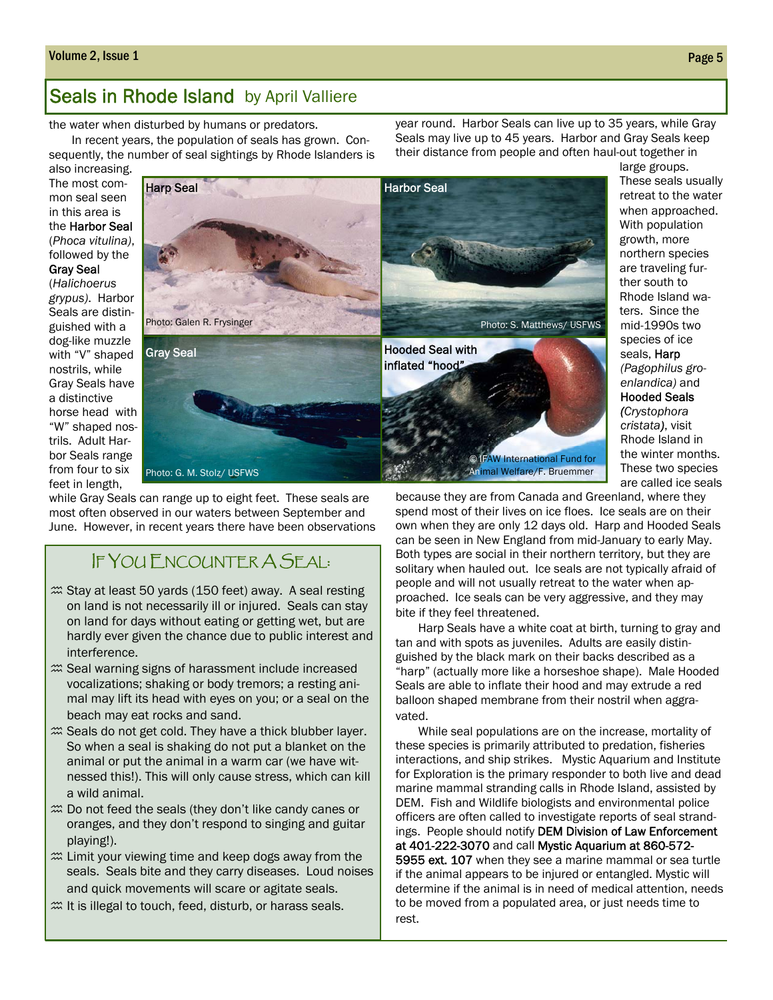#### Volume 2, Issue 1 Page 5

#### Seals in Rhode Island by April Valliere

the water when disturbed by humans or predators.

In recent years, the population of seals has grown. Consequently, the number of seal sightings by Rhode Islanders is

also increasing. The most common seal seen in this area is the Harbor Seal (*Phoca vitulina)*, followed by the Gray Seal

(*Halichoerus* 

*grypus)*. Harbor Seals are distinguished with a dog-like muzzle with "V" shaped nostrils, while Gray Seals have a distinctive horse head with "W" shaped nostrils. Adult Harbor Seals range from four to six feet in length,



while Gray Seals can range up to eight feet. These seals are most often observed in our waters between September and June. However, in recent years there have been observations

#### IF YOU ENCOUNTER A SEAL:

- $\mathfrak{m}$  Stay at least 50 yards (150 feet) away. A seal resting on land is not necessarily ill or injured. Seals can stay on land for days without eating or getting wet, but are hardly ever given the chance due to public interest and interference.
- $\mathfrak{m}$  Seal warning signs of harassment include increased vocalizations; shaking or body tremors; a resting animal may lift its head with eyes on you; or a seal on the beach may eat rocks and sand.
- $\mathfrak{m}$  Seals do not get cold. They have a thick blubber layer. So when a seal is shaking do not put a blanket on the animal or put the animal in a warm car (we have witnessed this!). This will only cause stress, which can kill a wild animal.
- $\mathfrak{m}$  Do not feed the seals (they don't like candy canes or oranges, and they don't respond to singing and guitar playing!).
- $\mathfrak{m}$  Limit your viewing time and keep dogs away from the seals. Seals bite and they carry diseases. Loud noises and quick movements will scare or agitate seals.
- $\mathfrak{m}$  It is illegal to touch, feed, disturb, or harass seals.

year round. Harbor Seals can live up to 35 years, while Gray Seals may live up to 45 years. Harbor and Gray Seals keep their distance from people and often haul-out together in

species of ice seals, Harp *(Pagophilus groenlandica)* and Hooded Seals *(Crystophora cristata)*, visit Rhode Island in the winter months. These two species are called ice seals because they are from Canada and Greenland, where they spend most of their lives on ice floes. Ice seals are on their own when they are only 12 days old. Harp and Hooded Seals can be seen in New England from mid-January to early May. Both types are social in their northern territory, but they are solitary when hauled out. Ice seals are not typically afraid of people and will not usually retreat to the water when approached. Ice seals can be very aggressive, and they may bite if they feel threatened.

Harp Seals have a white coat at birth, turning to gray and tan and with spots as juveniles. Adults are easily distinguished by the black mark on their backs described as a "harp" (actually more like a horseshoe shape). Male Hooded Seals are able to inflate their hood and may extrude a red balloon shaped membrane from their nostril when aggravated.

While seal populations are on the increase, mortality of these species is primarily attributed to predation, fisheries interactions, and ship strikes. Mystic Aquarium and Institute for Exploration is the primary responder to both live and dead marine mammal stranding calls in Rhode Island, assisted by DEM. Fish and Wildlife biologists and environmental police officers are often called to investigate reports of seal strandings. People should notify DEM Division of Law Enforcement at 401-222-3070 and call Mystic Aquarium at 860-572- 5955 ext. 107 when they see a marine mammal or sea turtle if the animal appears to be injured or entangled. Mystic will determine if the animal is in need of medical attention, needs to be moved from a populated area, or just needs time to rest.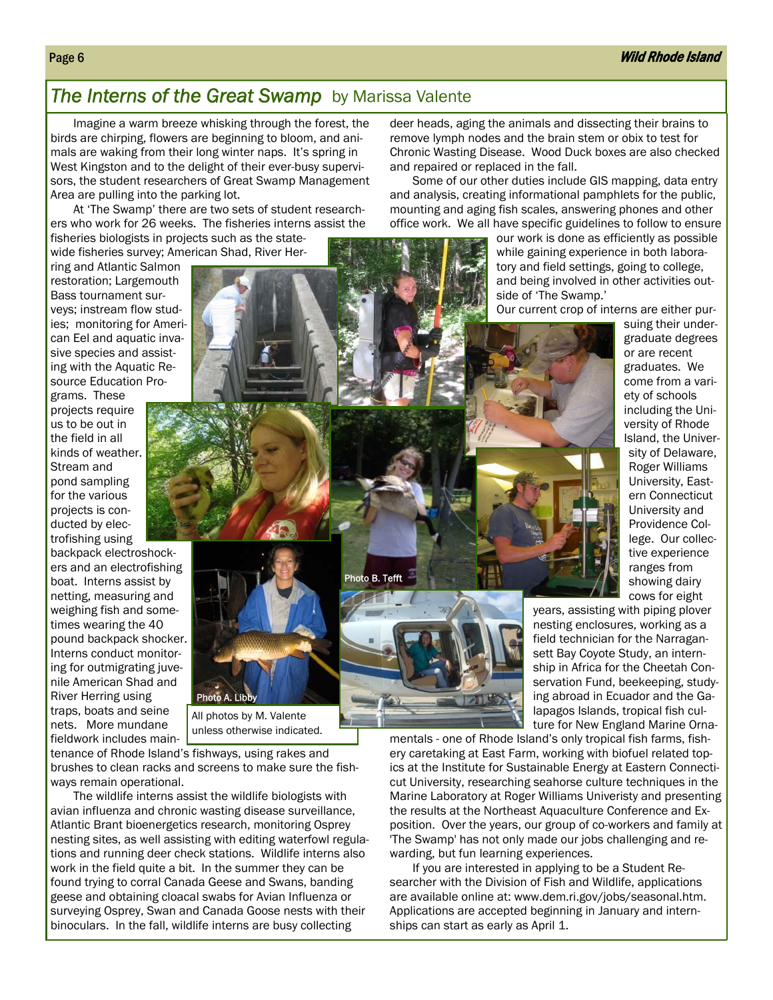#### **The Interns of the Great Swamp** by Marissa Valente

Imagine a warm breeze whisking through the forest, the birds are chirping, flowers are beginning to bloom, and animals are waking from their long winter naps. It's spring in West Kingston and to the delight of their ever-busy supervisors, the student researchers of Great Swamp Management Area are pulling into the parking lot.

At 'The Swamp' there are two sets of student researchers who work for 26 weeks. The fisheries interns assist the fisheries biologists in projects such as the state-

wide fisheries survey; American Shad, River Her-

ring and Atlantic Salmon restoration; Largemouth Bass tournament surveys; instream flow studies; monitoring for American Eel and aquatic invasive species and assisting with the Aquatic Resource Education Pro-

grams. These projects require us to be out in the field in all kinds of weather. Stream and pond sampling for the various projects is conducted by electrofishing using

backpack electroshockers and an electrofishing boat. Interns assist by netting, measuring and weighing fish and sometimes wearing the 40 pound backpack shocker. Interns conduct monitoring for outmigrating juvenile American Shad and River Herring using traps, boats and seine nets. More mundane fieldwork includes main-

tenance of Rhode Island's fishways, using rakes and brushes to clean racks and screens to make sure the fishways remain operational.

Photo A. Libl

All photos by M. Valente unless otherwise indicated.

The wildlife interns assist the wildlife biologists with avian influenza and chronic wasting disease surveillance, Atlantic Brant bioenergetics research, monitoring Osprey nesting sites, as well assisting with editing waterfowl regulations and running deer check stations. Wildlife interns also work in the field quite a bit. In the summer they can be found trying to corral Canada Geese and Swans, banding geese and obtaining cloacal swabs for Avian Influenza or surveying Osprey, Swan and Canada Goose nests with their binoculars. In the fall, wildlife interns are busy collecting

deer heads, aging the animals and dissecting their brains to remove lymph nodes and the brain stem or obix to test for Chronic Wasting Disease. Wood Duck boxes are also checked and repaired or replaced in the fall.

Some of our other duties include GIS mapping, data entry and analysis, creating informational pamphlets for the public, mounting and aging fish scales, answering phones and other office work. We all have specific guidelines to follow to ensure

> our work is done as efficiently as possible while gaining experience in both laboratory and field settings, going to college, and being involved in other activities outside of 'The Swamp.'

> Our current crop of interns are either pur-

suing their undergraduate degrees or are recent graduates. We come from a variety of schools including the University of Rhode Island, the University of Delaware, Roger Williams University, Eastern Connecticut University and Providence College. Our collective experience ranges from showing dairy cows for eight

Photo B. Tefft



years, assisting with piping plover nesting enclosures, working as a field technician for the Narragansett Bay Coyote Study, an internship in Africa for the Cheetah Conservation Fund, beekeeping, studying abroad in Ecuador and the Galapagos Islands, tropical fish culture for New England Marine Orna-

mentals - one of Rhode Island's only tropical fish farms, fishery caretaking at East Farm, working with biofuel related topics at the Institute for Sustainable Energy at Eastern Connecticut University, researching seahorse culture techniques in the Marine Laboratory at Roger Williams Univeristy and presenting the results at the Northeast Aquaculture Conference and Exposition. Over the years, our group of co-workers and family at 'The Swamp' has not only made our jobs challenging and rewarding, but fun learning experiences.

If you are interested in applying to be a Student Researcher with the Division of Fish and Wildlife, applications are available online at: www.dem.ri.gov/jobs/seasonal.htm. Applications are accepted beginning in January and internships can start as early as April 1.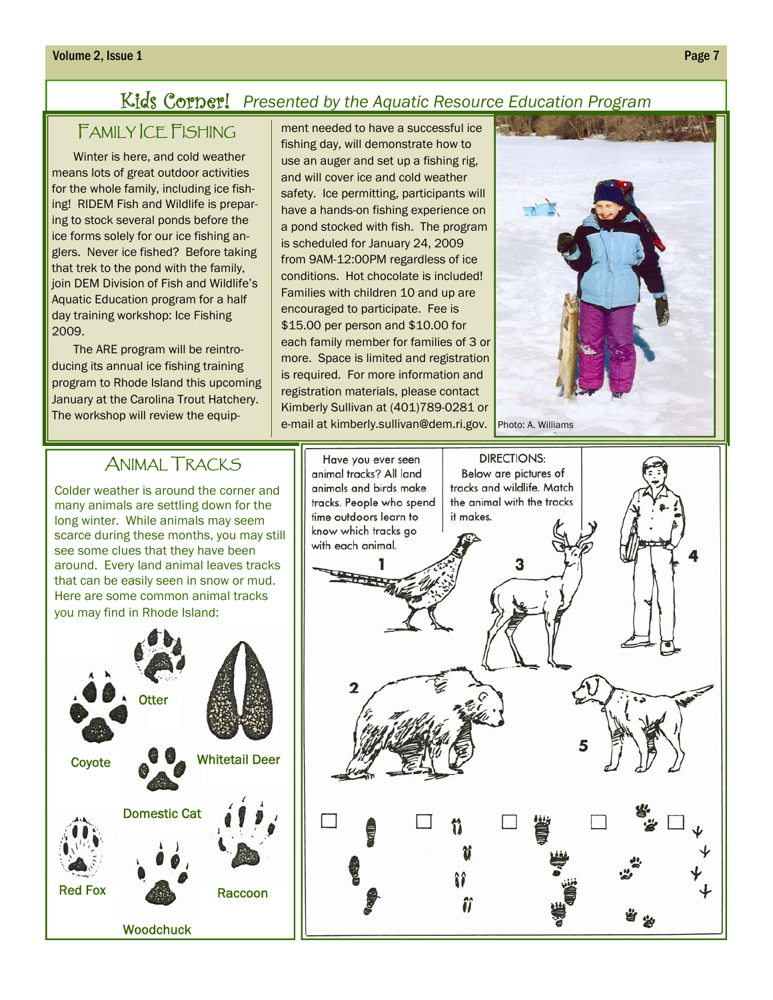#### Kids Corner! *Presented by the Aquatic Resource Education Program*

# FAMILY ICE FISHING

Winter is here, and cold weather means lots of great outdoor activities for the whole family, including ice fishing! RIDEM Fish and Wildlife is preparing to stock several ponds before the ice forms solely for our ice fishing anglers. Never ice fished? Before taking that trek to the pond with the family, join DEM Division of Fish and Wildlife's Aquatic Education program for a half day training workshop: Ice Fishing 2009.

The ARE program will be reintroducing its annual ice fishing training program to Rhode Island this upcoming January at the Carolina Trout Hatchery. The workshop will review the equipment needed to have a successful ice fishing day, will demonstrate how to use an auger and set up a fishing rig, and will cover ice and cold weather safety. Ice permitting, participants will have a hands-on fishing experience on a pond stocked with fish. The program is scheduled for January 24, 2009 from 9AM-12:00PM regardless of ice conditions. Hot chocolate is included! Families with children 10 and up are encouraged to participate. Fee is \$15.00 per person and \$10.00 for each family member for families of 3 or more. Space is limited and registration is required. For more information and registration materials, please contact Kimberly Sullivan at (401)789-0281 or e-mail at kimberly.sullivan@dem.ri.gov.



## ANIMAL TRACKS

Colder weather is around the corner and many animals are settling down for the long winter. While animals may seem scarce during these months, you may still see some clues that they have been around. Every land animal leaves tracks that can be easily seen in snow or mud. Here are some common animal tracks you may find in Rhode Island: